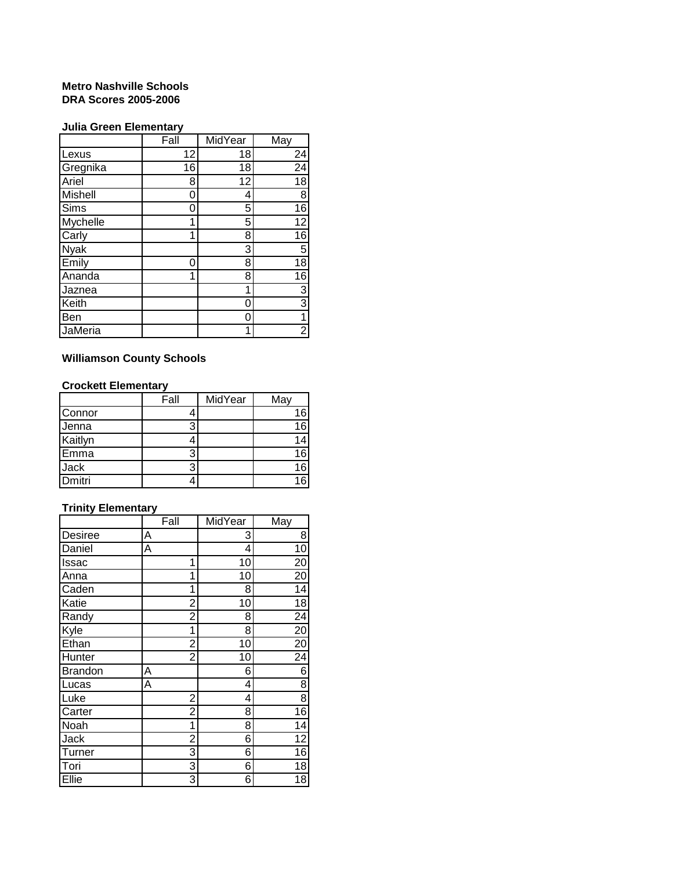#### **Metro Nashville Schools DRA Scores 2005-2006**

### **Julia Green Elementary**

|                | Fall | MidYear | May             |
|----------------|------|---------|-----------------|
| Lexus          | 12   | 18      | 24              |
| Gregnika       | 16   | 18      | 24              |
| Ariel          | 8    | 12      | $\overline{18}$ |
| <b>Mishell</b> | Ⴖ    | 4       | $\overline{8}$  |
| Sims           | በ    | 5       | $\overline{16}$ |
| Mychelle       | 1    | 5       | $\overline{12}$ |
| Carly          | 1    | 8       | $\overline{16}$ |
| <b>Nyak</b>    |      | 3       | 5               |
| Emily          | ∩    | 8       | $\overline{18}$ |
| Ananda         | 1    | 8       | 16              |
| Jaznea         |      | 1       | $\overline{3}$  |
| Keith          |      | 0       | $\overline{3}$  |
| Ben            |      | 0       | 1               |
| JaMeria        |      | 1       | $\overline{2}$  |

# **Williamson County Schools**

### **Crockett Elementary**

|             | Fall | MidYear | May |
|-------------|------|---------|-----|
| Connor      |      |         | 16  |
| Jenna       |      |         | 16  |
| Kaitlyn     |      |         |     |
| Emma        |      |         | 16  |
| <b>Jack</b> |      |         | 16  |
| Dmitri      |      |         |     |

## **Trinity Elementary**

|                | Fall |                | MidYear | May             |
|----------------|------|----------------|---------|-----------------|
| <b>Desiree</b> | Α    |                | 3       | 8               |
| Daniel         | A    |                | 4       | $\overline{10}$ |
| <b>Issac</b>   |      | 1              | 10      | 20              |
| Anna           |      | 1              | 10      | 20              |
| Caden          |      | 1              | 8       | 14              |
| Katie          |      | $\overline{2}$ | 10      | $\overline{18}$ |
| Randy          |      | $\overline{2}$ | 8       | $\overline{24}$ |
| Kyle           |      | 1              | 8       | $\overline{20}$ |
| Ethan          |      | $\overline{2}$ | 10      | 20              |
| Hunter         |      | 2              | 10      | 24              |
| <b>Brandon</b> | Α    |                | 6       | 6               |
| Lucas          | Α    |                | 4       | $\overline{8}$  |
| Luke           |      | $\overline{2}$ | 4       | $\overline{8}$  |
| Carter         |      | 2              | 8       | $\overline{16}$ |
| Noah           |      | 1              | 8       | 14              |
| Jack           |      | $\overline{2}$ | 6       | 12              |
| Turner         |      | 3              | 6       | $\overline{16}$ |
| Tori           |      | 3              | 6       | 18              |
| Ellie          |      | 3              | 6       | 18              |